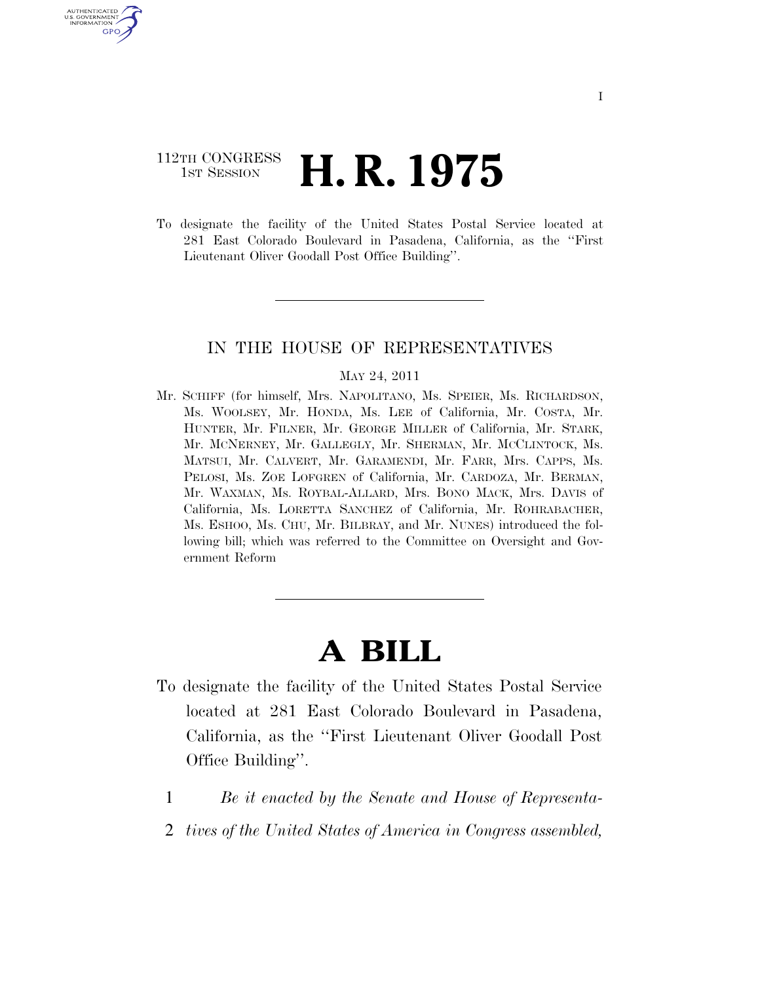## 112TH CONGRESS **1st Session H. R. 1975**

U.S. GOVERNMENT GPO

> To designate the facility of the United States Postal Service located at 281 East Colorado Boulevard in Pasadena, California, as the ''First Lieutenant Oliver Goodall Post Office Building''.

## IN THE HOUSE OF REPRESENTATIVES

## MAY 24, 2011

Mr. SCHIFF (for himself, Mrs. NAPOLITANO, Ms. SPEIER, Ms. RICHARDSON, Ms. WOOLSEY, Mr. HONDA, Ms. LEE of California, Mr. COSTA, Mr. HUNTER, Mr. FILNER, Mr. GEORGE MILLER of California, Mr. STARK, Mr. MCNERNEY, Mr. GALLEGLY, Mr. SHERMAN, Mr. MCCLINTOCK, Ms. MATSUI, Mr. CALVERT, Mr. GARAMENDI, Mr. FARR, Mrs. CAPPS, Ms. PELOSI, Ms. ZOE LOFGREN of California, Mr. CARDOZA, Mr. BERMAN, Mr. WAXMAN, Ms. ROYBAL-ALLARD, Mrs. BONO MACK, Mrs. DAVIS of California, Ms. LORETTA SANCHEZ of California, Mr. ROHRABACHER, Ms. ESHOO, Ms. CHU, Mr. BILBRAY, and Mr. NUNES) introduced the following bill; which was referred to the Committee on Oversight and Government Reform

## **A BILL**

- To designate the facility of the United States Postal Service located at 281 East Colorado Boulevard in Pasadena, California, as the ''First Lieutenant Oliver Goodall Post Office Building''.
	- 1 *Be it enacted by the Senate and House of Representa-*
	- 2 *tives of the United States of America in Congress assembled,*